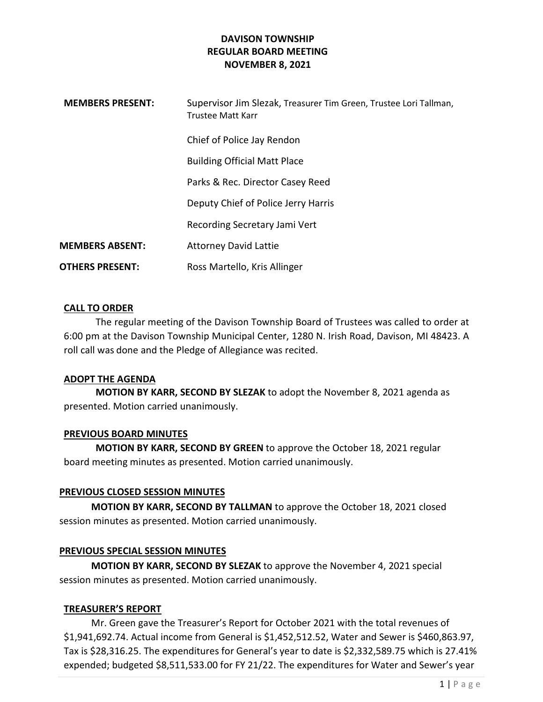### DAVISON TOWNSHIP REGULAR BOARD MEETING NOVEMBER 8, 2021

| <b>MEMBERS PRESENT:</b> | Supervisor Jim Slezak, Treasurer Tim Green, Trustee Lori Tallman,<br>Trustee Matt Karr |
|-------------------------|----------------------------------------------------------------------------------------|
|                         | Chief of Police Jay Rendon                                                             |
|                         | <b>Building Official Matt Place</b>                                                    |
|                         | Parks & Rec. Director Casey Reed                                                       |
|                         | Deputy Chief of Police Jerry Harris                                                    |
|                         | Recording Secretary Jami Vert                                                          |
| <b>MEMBERS ABSENT:</b>  | <b>Attorney David Lattie</b>                                                           |
| <b>OTHERS PRESENT:</b>  | Ross Martello, Kris Allinger                                                           |

### CALL TO ORDER

The regular meeting of the Davison Township Board of Trustees was called to order at 6:00 pm at the Davison Township Municipal Center, 1280 N. Irish Road, Davison, MI 48423. A roll call was done and the Pledge of Allegiance was recited.

#### ADOPT THE AGENDA

MOTION BY KARR, SECOND BY SLEZAK to adopt the November 8, 2021 agenda as presented. Motion carried unanimously.

### PREVIOUS BOARD MINUTES

MOTION BY KARR, SECOND BY GREEN to approve the October 18, 2021 regular board meeting minutes as presented. Motion carried unanimously.

### PREVIOUS CLOSED SESSION MINUTES

MOTION BY KARR, SECOND BY TALLMAN to approve the October 18, 2021 closed session minutes as presented. Motion carried unanimously.

### PREVIOUS SPECIAL SESSION MINUTES

MOTION BY KARR, SECOND BY SLEZAK to approve the November 4, 2021 special session minutes as presented. Motion carried unanimously.

### TREASURER'S REPORT

 Mr. Green gave the Treasurer's Report for October 2021 with the total revenues of \$1,941,692.74. Actual income from General is \$1,452,512.52, Water and Sewer is \$460,863.97, Tax is \$28,316.25. The expenditures for General's year to date is \$2,332,589.75 which is 27.41% expended; budgeted \$8,511,533.00 for FY 21/22. The expenditures for Water and Sewer's year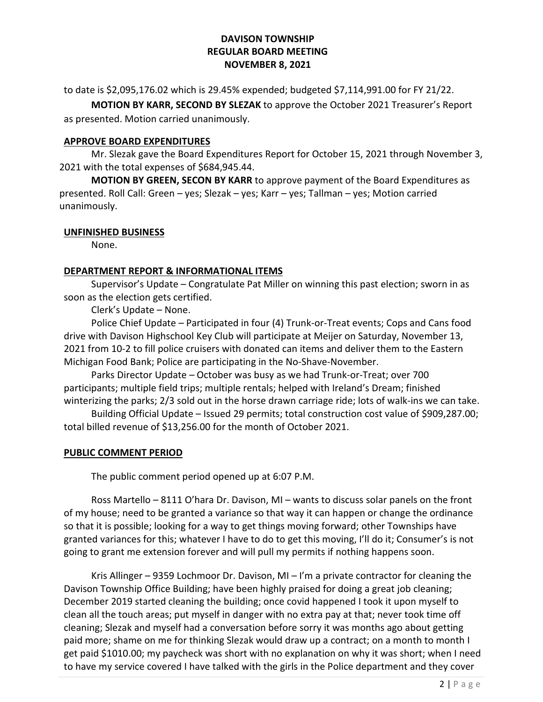### DAVISON TOWNSHIP REGULAR BOARD MEETING NOVEMBER 8, 2021

to date is \$2,095,176.02 which is 29.45% expended; budgeted \$7,114,991.00 for FY 21/22.

MOTION BY KARR, SECOND BY SLEZAK to approve the October 2021 Treasurer's Report as presented. Motion carried unanimously.

### APPROVE BOARD EXPENDITURES

 Mr. Slezak gave the Board Expenditures Report for October 15, 2021 through November 3, 2021 with the total expenses of \$684,945.44.

MOTION BY GREEN, SECON BY KARR to approve payment of the Board Expenditures as presented. Roll Call: Green – yes; Slezak – yes; Karr – yes; Tallman – yes; Motion carried unanimously.

### UNFINISHED BUSINESS

None.

## DEPARTMENT REPORT & INFORMATIONAL ITEMS

Supervisor's Update – Congratulate Pat Miller on winning this past election; sworn in as soon as the election gets certified.

Clerk's Update – None.

 Police Chief Update – Participated in four (4) Trunk-or-Treat events; Cops and Cans food drive with Davison Highschool Key Club will participate at Meijer on Saturday, November 13, 2021 from 10-2 to fill police cruisers with donated can items and deliver them to the Eastern Michigan Food Bank; Police are participating in the No-Shave-November.

 Parks Director Update – October was busy as we had Trunk-or-Treat; over 700 participants; multiple field trips; multiple rentals; helped with Ireland's Dream; finished winterizing the parks; 2/3 sold out in the horse drawn carriage ride; lots of walk-ins we can take.

 Building Official Update – Issued 29 permits; total construction cost value of \$909,287.00; total billed revenue of \$13,256.00 for the month of October 2021.

### PUBLIC COMMENT PERIOD

The public comment period opened up at 6:07 P.M.

 Ross Martello – 8111 O'hara Dr. Davison, MI – wants to discuss solar panels on the front of my house; need to be granted a variance so that way it can happen or change the ordinance so that it is possible; looking for a way to get things moving forward; other Townships have granted variances for this; whatever I have to do to get this moving, I'll do it; Consumer's is not going to grant me extension forever and will pull my permits if nothing happens soon.

Kris Allinger – 9359 Lochmoor Dr. Davison, MI – I'm a private contractor for cleaning the Davison Township Office Building; have been highly praised for doing a great job cleaning; December 2019 started cleaning the building; once covid happened I took it upon myself to clean all the touch areas; put myself in danger with no extra pay at that; never took time off cleaning; Slezak and myself had a conversation before sorry it was months ago about getting paid more; shame on me for thinking Slezak would draw up a contract; on a month to month I get paid \$1010.00; my paycheck was short with no explanation on why it was short; when I need to have my service covered I have talked with the girls in the Police department and they cover